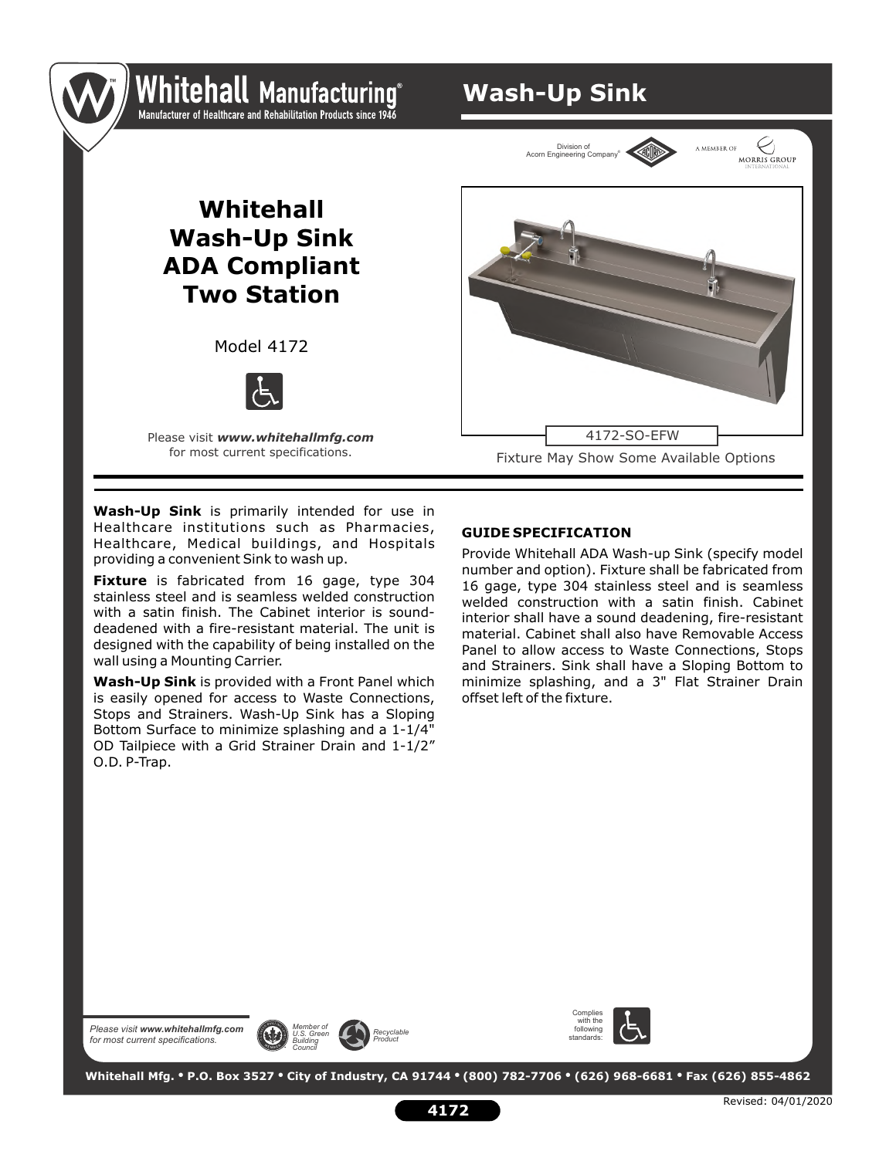### Whitehall Manufacturing Manufacturer of Healthcare and Rehabilitation Products since 1946

**Wash-Up Sink**

Division of ® Acorn Engineering Company



Model 4172



Please visit *www.whitehallmfg.com* for most current specifications.

Fixture May Show Some Available Options 4172-SO-EFW

MORRIS GROUP

a member of

**Wash-Up Sink** is primarily intended for use in Healthcare institutions such as Pharmacies, Healthcare, Medical buildings, and Hospitals providing a convenient Sink to wash up.

**Fixture** is fabricated from 16 gage, type 304 stainless steel and is seamless welded construction with a satin finish. The Cabinet interior is sounddeadened with a fire-resistant material. The unit is designed with the capability of being installed on the wall using a Mounting Carrier.

**Wash-Up Sink** is provided with a Front Panel which is easily opened for access to Waste Connections, Stops and Strainers. Wash-Up Sink has a Sloping Bottom Surface to minimize splashing and a 1-1/4" OD Tailpiece with a Grid Strainer Drain and 1-1/2" O.D. P-Trap.

#### **GUIDE SPECIFICATION**

Provide Whitehall ADA Wash-up Sink (specify model number and option). Fixture shall be fabricated from 16 gage, type 304 stainless steel and is seamless welded construction with a satin finish. Cabinet interior shall have a sound deadening, fire-resistant material. Cabinet shall also have Removable Access Panel to allow access to Waste Connections, Stops and Strainers. Sink shall have a Sloping Bottom to minimize splashing, and a 3" Flat Strainer Drain offset left of the fixture.

*Please visit www.whitehallmfg.com for most current specifications.*







 **Whitehall Mfg. • P.O. Box 3527 • City of Industry, CA 91744 • (800) 782-7706 • (626) 968-6681 • Fax (626) 855-4862**

**4172**